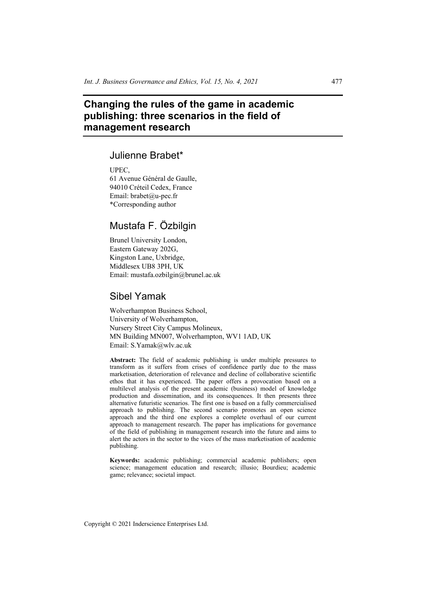# **Changing the rules of the game in academic publishing: three scenarios in the field of management research**

## Julienne Brabet\*

UPEC,

61 Avenue Général de Gaulle, 94010 Créteil Cedex, France Email: brabet@u-pec.fr \*Corresponding author

# Mustafa F. Özbilgin

Brunel University London, Eastern Gateway 202G, Kingston Lane, Uxbridge, Middlesex UB8 3PH, UK Email: mustafa.ozbilgin@brunel.ac.uk

## Sibel Yamak

Wolverhampton Business School, University of Wolverhampton, Nursery Street City Campus Molineux, MN Building MN007, Wolverhampton, WV1 1AD, UK Email: S.Yamak@wlv.ac.uk

**Abstract:** The field of academic publishing is under multiple pressures to transform as it suffers from crises of confidence partly due to the mass marketisation, deterioration of relevance and decline of collaborative scientific ethos that it has experienced. The paper offers a provocation based on a multilevel analysis of the present academic (business) model of knowledge production and dissemination, and its consequences. It then presents three alternative futuristic scenarios. The first one is based on a fully commercialised approach to publishing. The second scenario promotes an open science approach and the third one explores a complete overhaul of our current approach to management research. The paper has implications for governance of the field of publishing in management research into the future and aims to alert the actors in the sector to the vices of the mass marketisation of academic publishing.

**Keywords:** academic publishing; commercial academic publishers; open science; management education and research; illusio; Bourdieu; academic game; relevance; societal impact.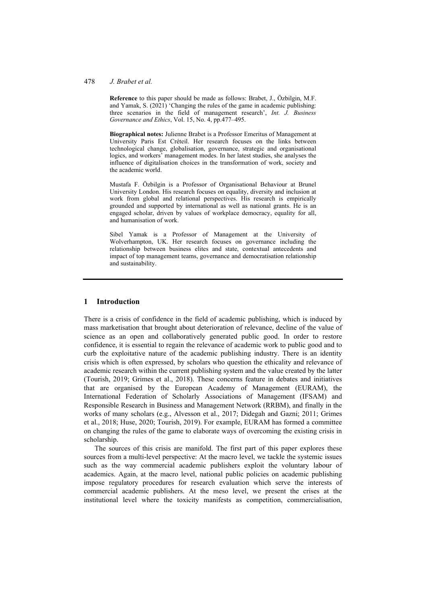#### 478 *J. Brabet et al.*

**Reference** to this paper should be made as follows: Brabet, J., Özbilgin, M.F. and Yamak, S. (2021) 'Changing the rules of the game in academic publishing: three scenarios in the field of management research', *Int. J. Business Governance and Ethics*, Vol. 15, No. 4, pp.477–495.

**Biographical notes:** Julienne Brabet is a Professor Emeritus of Management at University Paris Est Créteil. Her research focuses on the links between technological change, globalisation, governance, strategic and organisational logics, and workers' management modes. In her latest studies, she analyses the influence of digitalisation choices in the transformation of work, society and the academic world.

Mustafa F. Özbilgin is a Professor of Organisational Behaviour at Brunel University London. His research focuses on equality, diversity and inclusion at work from global and relational perspectives. His research is empirically grounded and supported by international as well as national grants. He is an engaged scholar, driven by values of workplace democracy, equality for all, and humanisation of work.

Sibel Yamak is a Professor of Management at the University of Wolverhampton, UK. Her research focuses on governance including the relationship between business elites and state, contextual antecedents and impact of top management teams, governance and democratisation relationship and sustainability.

## **1 Introduction**

There is a crisis of confidence in the field of academic publishing, which is induced by mass marketisation that brought about deterioration of relevance, decline of the value of science as an open and collaboratively generated public good. In order to restore confidence, it is essential to regain the relevance of academic work to public good and to curb the exploitative nature of the academic publishing industry. There is an identity crisis which is often expressed, by scholars who question the ethicality and relevance of academic research within the current publishing system and the value created by the latter (Tourish, 2019; Grimes et al., 2018). These concerns feature in debates and initiatives that are organised by the European Academy of Management (EURAM), the International Federation of Scholarly Associations of Management (IFSAM) and Responsible Research in Business and Management Network (RRBM), and finally in the works of many scholars (e.g., Alvesson et al., 2017; Didegah and Gazni; 2011; Grimes et al., 2018; Huse, 2020; Tourish, 2019). For example, EURAM has formed a committee on changing the rules of the game to elaborate ways of overcoming the existing crisis in scholarship.

The sources of this crisis are manifold. The first part of this paper explores these sources from a multi-level perspective: At the macro level, we tackle the systemic issues such as the way commercial academic publishers exploit the voluntary labour of academics. Again, at the macro level, national public policies on academic publishing impose regulatory procedures for research evaluation which serve the interests of commercial academic publishers. At the meso level, we present the crises at the institutional level where the toxicity manifests as competition, commercialisation,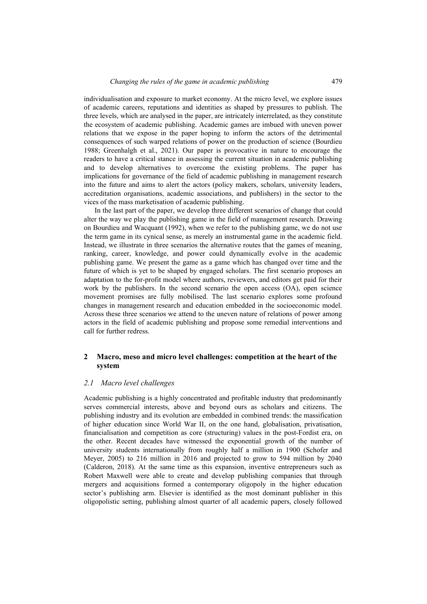individualisation and exposure to market economy. At the micro level, we explore issues of academic careers, reputations and identities as shaped by pressures to publish. The three levels, which are analysed in the paper, are intricately interrelated, as they constitute the ecosystem of academic publishing. Academic games are imbued with uneven power relations that we expose in the paper hoping to inform the actors of the detrimental consequences of such warped relations of power on the production of science (Bourdieu 1988; Greenhalgh et al., 2021). Our paper is provocative in nature to encourage the readers to have a critical stance in assessing the current situation in academic publishing and to develop alternatives to overcome the existing problems. The paper has implications for governance of the field of academic publishing in management research into the future and aims to alert the actors (policy makers, scholars, university leaders, accreditation organisations, academic associations, and publishers) in the sector to the vices of the mass marketisation of academic publishing.

In the last part of the paper, we develop three different scenarios of change that could alter the way we play the publishing game in the field of management research. Drawing on Bourdieu and Wacquant (1992), when we refer to the publishing game, we do not use the term game in its cynical sense, as merely an instrumental game in the academic field. Instead, we illustrate in three scenarios the alternative routes that the games of meaning, ranking, career, knowledge, and power could dynamically evolve in the academic publishing game. We present the game as a game which has changed over time and the future of which is yet to be shaped by engaged scholars. The first scenario proposes an adaptation to the for-profit model where authors, reviewers, and editors get paid for their work by the publishers. In the second scenario the open access (OA), open science movement promises are fully mobilised. The last scenario explores some profound changes in management research and education embedded in the socioeconomic model. Across these three scenarios we attend to the uneven nature of relations of power among actors in the field of academic publishing and propose some remedial interventions and call for further redress.

## **2 Macro, meso and micro level challenges: competition at the heart of the system**

#### *2.1 Macro level challenges*

Academic publishing is a highly concentrated and profitable industry that predominantly serves commercial interests, above and beyond ours as scholars and citizens. The publishing industry and its evolution are embedded in combined trends: the massification of higher education since World War II, on the one hand, globalisation, privatisation, financialisation and competition as core (structuring) values in the post-Fordist era, on the other. Recent decades have witnessed the exponential growth of the number of university students internationally from roughly half a million in 1900 (Schofer and Meyer, 2005) to 216 million in 2016 and projected to grow to 594 million by 2040 (Calderon, 2018). At the same time as this expansion, inventive entrepreneurs such as Robert Maxwell were able to create and develop publishing companies that through mergers and acquisitions formed a contemporary oligopoly in the higher education sector's publishing arm. Elsevier is identified as the most dominant publisher in this oligopolistic setting, publishing almost quarter of all academic papers, closely followed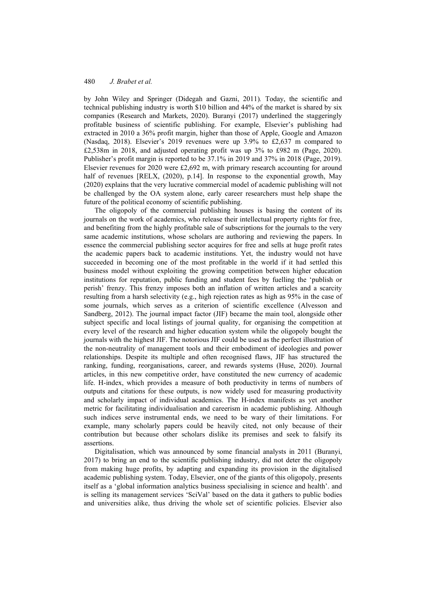by John Wiley and Springer (Didegah and Gazni, 2011)*.* Today, the scientific and technical publishing industry is worth \$10 billion and 44% of the market is shared by six companies (Research and Markets, 2020). Buranyi (2017) underlined the staggeringly profitable business of scientific publishing. For example, Elsevier's publishing had extracted in 2010 a 36% profit margin, higher than those of Apple, Google and Amazon (Nasdaq, 2018). Elsevier's 2019 revenues were up 3.9% to £2,637 m compared to £2,538m in 2018, and adjusted operating profit was up 3% to £982 m (Page, 2020). Publisher's profit margin is reported to be 37.1% in 2019 and 37% in 2018 (Page, 2019). Elsevier revenues for 2020 were £2,692 m, with primary research accounting for around half of revenues [RELX, (2020), p.14]. In response to the exponential growth, May (2020) explains that the very lucrative commercial model of academic publishing will not be challenged by the OA system alone, early career researchers must help shape the future of the political economy of scientific publishing.

The oligopoly of the commercial publishing houses is basing the content of its journals on the work of academics, who release their intellectual property rights for free, and benefiting from the highly profitable sale of subscriptions for the journals to the very same academic institutions, whose scholars are authoring and reviewing the papers. In essence the commercial publishing sector acquires for free and sells at huge profit rates the academic papers back to academic institutions. Yet, the industry would not have succeeded in becoming one of the most profitable in the world if it had settled this business model without exploiting the growing competition between higher education institutions for reputation, public funding and student fees by fuelling the 'publish or perish' frenzy. This frenzy imposes both an inflation of written articles and a scarcity resulting from a harsh selectivity (e.g., high rejection rates as high as 95% in the case of some journals, which serves as a criterion of scientific excellence (Alvesson and Sandberg, 2012). The journal impact factor (JIF) became the main tool, alongside other subject specific and local listings of journal quality, for organising the competition at every level of the research and higher education system while the oligopoly bought the journals with the highest JIF. The notorious JIF could be used as the perfect illustration of the non-neutrality of management tools and their embodiment of ideologies and power relationships. Despite its multiple and often recognised flaws, JIF has structured the ranking, funding, reorganisations, career, and rewards systems (Huse, 2020). Journal articles, in this new competitive order, have constituted the new currency of academic life. H-index, which provides a measure of both productivity in terms of numbers of outputs and citations for these outputs, is now widely used for measuring productivity and scholarly impact of individual academics. The H-index manifests as yet another metric for facilitating individualisation and careerism in academic publishing. Although such indices serve instrumental ends, we need to be wary of their limitations. For example, many scholarly papers could be heavily cited, not only because of their contribution but because other scholars dislike its premises and seek to falsify its assertions.

Digitalisation, which was announced by some financial analysts in 2011 (Buranyi, 2017) to bring an end to the scientific publishing industry, did not deter the oligopoly from making huge profits, by adapting and expanding its provision in the digitalised academic publishing system. Today, Elsevier, one of the giants of this oligopoly, presents itself as a 'global information analytics business specialising in science and health'. and is selling its management services 'SciVal' based on the data it gathers to public bodies and universities alike, thus driving the whole set of scientific policies. Elsevier also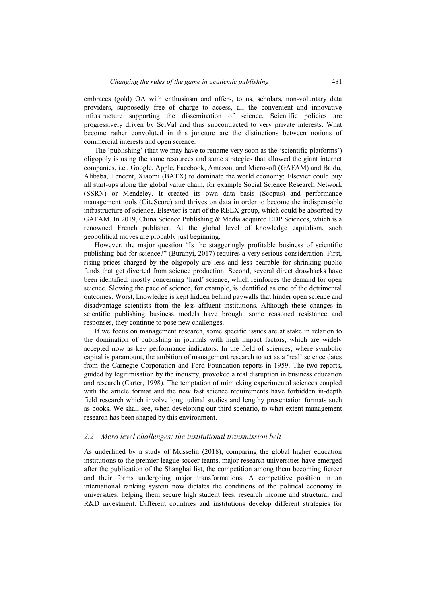embraces (gold) OA with enthusiasm and offers, to us, scholars, non-voluntary data providers, supposedly free of charge to access, all the convenient and innovative infrastructure supporting the dissemination of science. Scientific policies are progressively driven by SciVal and thus subcontracted to very private interests. What become rather convoluted in this juncture are the distinctions between notions of commercial interests and open science.

The 'publishing' (that we may have to rename very soon as the 'scientific platforms') oligopoly is using the same resources and same strategies that allowed the giant internet companies, i.e., Google, Apple, Facebook, Amazon, and Microsoft (GAFAM) and Baidu, Alibaba, Tencent, Xiaomi (BATX) to dominate the world economy: Elsevier could buy all start-ups along the global value chain, for example Social Science Research Network (SSRN) or Mendeley. It created its own data basis (Scopus) and performance management tools (CiteScore) and thrives on data in order to become the indispensable infrastructure of science. Elsevier is part of the RELX group, which could be absorbed by GAFAM. In 2019, China Science Publishing & Media acquired EDP Sciences, which is a renowned French publisher. At the global level of knowledge capitalism, such geopolitical moves are probably just beginning.

However, the major question "Is the staggeringly profitable business of scientific publishing bad for science?" (Buranyi, 2017) requires a very serious consideration. First, rising prices charged by the oligopoly are less and less bearable for shrinking public funds that get diverted from science production. Second, several direct drawbacks have been identified, mostly concerning 'hard' science, which reinforces the demand for open science. Slowing the pace of science, for example, is identified as one of the detrimental outcomes. Worst, knowledge is kept hidden behind paywalls that hinder open science and disadvantage scientists from the less affluent institutions. Although these changes in scientific publishing business models have brought some reasoned resistance and responses, they continue to pose new challenges.

If we focus on management research, some specific issues are at stake in relation to the domination of publishing in journals with high impact factors, which are widely accepted now as key performance indicators. In the field of sciences, where symbolic capital is paramount, the ambition of management research to act as a 'real' science dates from the Carnegie Corporation and Ford Foundation reports in 1959. The two reports, guided by legitimisation by the industry, provoked a real disruption in business education and research (Carter, 1998). The temptation of mimicking experimental sciences coupled with the article format and the new fast science requirements have forbidden in-depth field research which involve longitudinal studies and lengthy presentation formats such as books. We shall see, when developing our third scenario, to what extent management research has been shaped by this environment.

#### *2.2 Meso level challenges: the institutional transmission belt*

As underlined by a study of Musselin (2018), comparing the global higher education institutions to the premier league soccer teams, major research universities have emerged after the publication of the Shanghai list, the competition among them becoming fiercer and their forms undergoing major transformations. A competitive position in an international ranking system now dictates the conditions of the political economy in universities, helping them secure high student fees, research income and structural and R&D investment. Different countries and institutions develop different strategies for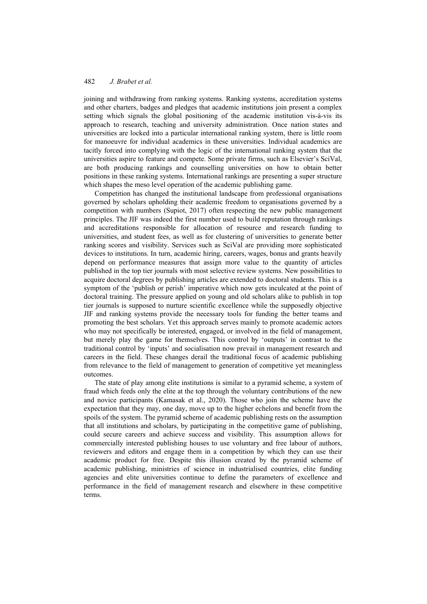joining and withdrawing from ranking systems. Ranking systems, accreditation systems and other charters, badges and pledges that academic institutions join present a complex setting which signals the global positioning of the academic institution vis-à-vis its approach to research, teaching and university administration. Once nation states and universities are locked into a particular international ranking system, there is little room for manoeuvre for individual academics in these universities. Individual academics are tacitly forced into complying with the logic of the international ranking system that the universities aspire to feature and compete. Some private firms, such as Elsevier's SciVal, are both producing rankings and counselling universities on how to obtain better positions in these ranking systems. International rankings are presenting a super structure which shapes the meso level operation of the academic publishing game.

Competition has changed the institutional landscape from professional organisations governed by scholars upholding their academic freedom to organisations governed by a competition with numbers (Supiot, 2017) often respecting the new public management principles. The JIF was indeed the first number used to build reputation through rankings and accreditations responsible for allocation of resource and research funding to universities, and student fees, as well as for clustering of universities to generate better ranking scores and visibility. Services such as SciVal are providing more sophisticated devices to institutions. In turn, academic hiring, careers, wages, bonus and grants heavily depend on performance measures that assign more value to the quantity of articles published in the top tier journals with most selective review systems. New possibilities to acquire doctoral degrees by publishing articles are extended to doctoral students. This is a symptom of the 'publish or perish' imperative which now gets inculcated at the point of doctoral training. The pressure applied on young and old scholars alike to publish in top tier journals is supposed to nurture scientific excellence while the supposedly objective JIF and ranking systems provide the necessary tools for funding the better teams and promoting the best scholars. Yet this approach serves mainly to promote academic actors who may not specifically be interested, engaged, or involved in the field of management, but merely play the game for themselves. This control by 'outputs' in contrast to the traditional control by 'inputs' and socialisation now prevail in management research and careers in the field. These changes derail the traditional focus of academic publishing from relevance to the field of management to generation of competitive yet meaningless outcomes.

The state of play among elite institutions is similar to a pyramid scheme, a system of fraud which feeds only the elite at the top through the voluntary contributions of the new and novice participants (Kamasak et al., 2020). Those who join the scheme have the expectation that they may, one day, move up to the higher echelons and benefit from the spoils of the system. The pyramid scheme of academic publishing rests on the assumption that all institutions and scholars, by participating in the competitive game of publishing, could secure careers and achieve success and visibility. This assumption allows for commercially interested publishing houses to use voluntary and free labour of authors, reviewers and editors and engage them in a competition by which they can use their academic product for free. Despite this illusion created by the pyramid scheme of academic publishing, ministries of science in industrialised countries, elite funding agencies and elite universities continue to define the parameters of excellence and performance in the field of management research and elsewhere in these competitive terms.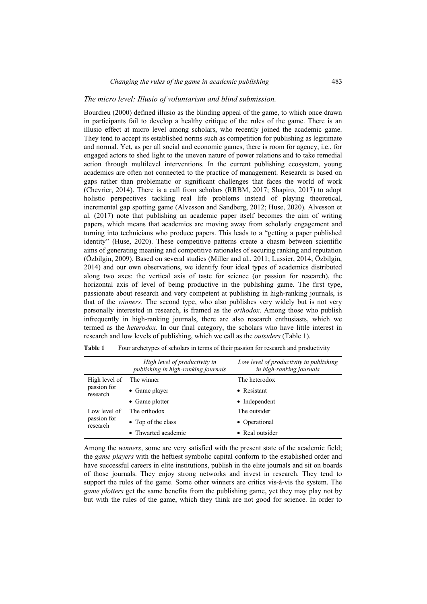#### *The micro level: Illusio of voluntarism and blind submission.*

Bourdieu (2000) defined illusio as the blinding appeal of the game, to which once drawn in participants fail to develop a healthy critique of the rules of the game. There is an illusio effect at micro level among scholars, who recently joined the academic game. They tend to accept its established norms such as competition for publishing as legitimate and normal. Yet, as per all social and economic games, there is room for agency, i.e., for engaged actors to shed light to the uneven nature of power relations and to take remedial action through multilevel interventions. In the current publishing ecosystem, young academics are often not connected to the practice of management. Research is based on gaps rather than problematic or significant challenges that faces the world of work (Chevrier, 2014). There is a call from scholars (RRBM, 2017; Shapiro, 2017) to adopt holistic perspectives tackling real life problems instead of playing theoretical, incremental gap spotting game (Alvesson and Sandberg, 2012; Huse, 2020). Alvesson et al. (2017) note that publishing an academic paper itself becomes the aim of writing papers, which means that academics are moving away from scholarly engagement and turning into technicians who produce papers. This leads to a "getting a paper published identity" (Huse, 2020). These competitive patterns create a chasm between scientific aims of generating meaning and competitive rationales of securing ranking and reputation (Özbilgin, 2009). Based on several studies (Miller and al., 2011; Lussier, 2014; Özbilgin, 2014) and our own observations, we identify four ideal types of academics distributed along two axes: the vertical axis of taste for science (or passion for research), the horizontal axis of level of being productive in the publishing game. The first type, passionate about research and very competent at publishing in high-ranking journals, is that of the *winners*. The second type, who also publishes very widely but is not very personally interested in research, is framed as the *orthodox*. Among those who publish infrequently in high-ranking journals, there are also research enthusiasts, which we termed as the *heterodox*. In our final category, the scholars who have little interest in research and low levels of publishing, which we call as the *outsiders* (Table 1).

|                                          | High level of productivity in<br>publishing in high-ranking journals | Low level of productivity in publishing<br>in high-ranking journals |
|------------------------------------------|----------------------------------------------------------------------|---------------------------------------------------------------------|
| High level of<br>passion for<br>research | The winner                                                           | The heterodox                                                       |
|                                          | $\bullet$ Game player                                                | • Resistant                                                         |
|                                          | • Game plotter                                                       | $\bullet$ Independent                                               |
| Low level of<br>passion for<br>research  | The orthodox                                                         | The outsider                                                        |
|                                          | • Top of the class                                                   | • Operational                                                       |
|                                          | • Thwarted academic                                                  | • Real outsider                                                     |

**Table 1** Four archetypes of scholars in terms of their passion for research and productivity

Among the *winners*, some are very satisfied with the present state of the academic field; the *game players* with the heftiest symbolic capital conform to the established order and have successful careers in elite institutions, publish in the elite journals and sit on boards of those journals. They enjoy strong networks and invest in research. They tend to support the rules of the game. Some other winners are critics vis-à-vis the system. The *game plotters* get the same benefits from the publishing game, yet they may play not by but with the rules of the game, which they think are not good for science. In order to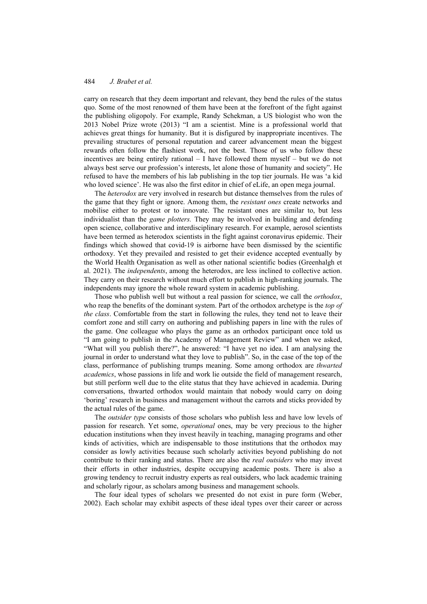carry on research that they deem important and relevant, they bend the rules of the status quo. Some of the most renowned of them have been at the forefront of the fight against the publishing oligopoly. For example, Randy Schekman, a US biologist who won the 2013 Nobel Prize wrote (2013) "I am a scientist. Mine is a professional world that achieves great things for humanity. But it is disfigured by inappropriate incentives. The prevailing structures of personal reputation and career advancement mean the biggest rewards often follow the flashiest work, not the best. Those of us who follow these incentives are being entirely rational – I have followed them myself – but we do not always best serve our profession's interests, let alone those of humanity and society". He refused to have the members of his lab publishing in the top tier journals. He was 'a kid who loved science'. He was also the first editor in chief of eLife, an open mega journal.

The *heterodox* are very involved in research but distance themselves from the rules of the game that they fight or ignore. Among them, the *resistant ones* create networks and mobilise either to protest or to innovate. The resistant ones are similar to, but less individualist than the *game plotters.* They may be involved in building and defending open science, collaborative and interdisciplinary research. For example, aerosol scientists have been termed as heterodox scientists in the fight against coronavirus epidemic. Their findings which showed that covid-19 is airborne have been dismissed by the scientific orthodoxy. Yet they prevailed and resisted to get their evidence accepted eventually by the World Health Organisation as well as other national scientific bodies (Greenhalgh et al. 2021). The *independents*, among the heterodox, are less inclined to collective action. They carry on their research without much effort to publish in high-ranking journals. The independents may ignore the whole reward system in academic publishing.

Those who publish well but without a real passion for science, we call the *orthodox*, who reap the benefits of the dominant system. Part of the orthodox archetype is the *top of the class*. Comfortable from the start in following the rules, they tend not to leave their comfort zone and still carry on authoring and publishing papers in line with the rules of the game. One colleague who plays the game as an orthodox participant once told us "I am going to publish in the Academy of Management Review" and when we asked, "What will you publish there?", he answered: "I have yet no idea. I am analysing the journal in order to understand what they love to publish". So, in the case of the top of the class, performance of publishing trumps meaning. Some among orthodox are *thwarted academics*, whose passions in life and work lie outside the field of management research, but still perform well due to the elite status that they have achieved in academia. During conversations, thwarted orthodox would maintain that nobody would carry on doing 'boring' research in business and management without the carrots and sticks provided by the actual rules of the game.

The *outsider type* consists of those scholars who publish less and have low levels of passion for research. Yet some, *operational* ones, may be very precious to the higher education institutions when they invest heavily in teaching, managing programs and other kinds of activities, which are indispensable to those institutions that the orthodox may consider as lowly activities because such scholarly activities beyond publishing do not contribute to their ranking and status. There are also the *real outsiders* who may invest their efforts in other industries, despite occupying academic posts. There is also a growing tendency to recruit industry experts as real outsiders, who lack academic training and scholarly rigour, as scholars among business and management schools.

The four ideal types of scholars we presented do not exist in pure form (Weber, 2002). Each scholar may exhibit aspects of these ideal types over their career or across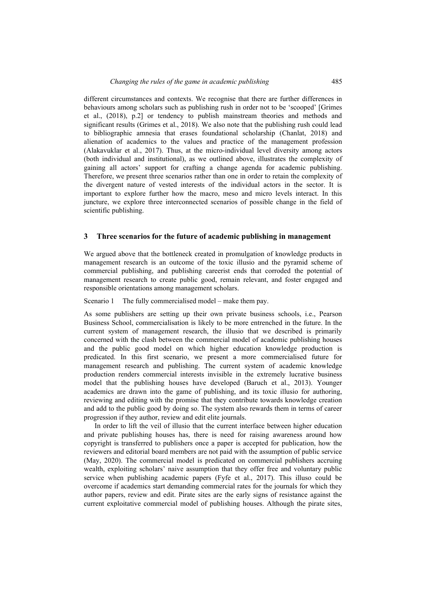different circumstances and contexts. We recognise that there are further differences in behaviours among scholars such as publishing rush in order not to be 'scooped' [Grimes et al., (2018), p.2] or tendency to publish mainstream theories and methods and significant results (Grimes et al., 2018). We also note that the publishing rush could lead to bibliographic amnesia that erases foundational scholarship (Chanlat, 2018) and alienation of academics to the values and practice of the management profession (Alakavuklar et al., 2017). Thus, at the micro-individual level diversity among actors (both individual and institutional), as we outlined above, illustrates the complexity of gaining all actors' support for crafting a change agenda for academic publishing. Therefore, we present three scenarios rather than one in order to retain the complexity of the divergent nature of vested interests of the individual actors in the sector. It is important to explore further how the macro, meso and micro levels interact. In this juncture, we explore three interconnected scenarios of possible change in the field of scientific publishing.

### **3 Three scenarios for the future of academic publishing in management**

We argued above that the bottleneck created in promulgation of knowledge products in management research is an outcome of the toxic illusio and the pyramid scheme of commercial publishing, and publishing careerist ends that corroded the potential of management research to create public good, remain relevant, and foster engaged and responsible orientations among management scholars.

Scenario 1 The fully commercialised model – make them pay.

As some publishers are setting up their own private business schools, i.e., Pearson Business School, commercialisation is likely to be more entrenched in the future. In the current system of management research, the illusio that we described is primarily concerned with the clash between the commercial model of academic publishing houses and the public good model on which higher education knowledge production is predicated. In this first scenario, we present a more commercialised future for management research and publishing. The current system of academic knowledge production renders commercial interests invisible in the extremely lucrative business model that the publishing houses have developed (Baruch et al., 2013). Younger academics are drawn into the game of publishing, and its toxic illusio for authoring, reviewing and editing with the promise that they contribute towards knowledge creation and add to the public good by doing so. The system also rewards them in terms of career progression if they author, review and edit elite journals.

In order to lift the veil of illusio that the current interface between higher education and private publishing houses has, there is need for raising awareness around how copyright is transferred to publishers once a paper is accepted for publication, how the reviewers and editorial board members are not paid with the assumption of public service (May, 2020). The commercial model is predicated on commercial publishers accruing wealth, exploiting scholars' naive assumption that they offer free and voluntary public service when publishing academic papers (Fyfe et al., 2017). This illuso could be overcome if academics start demanding commercial rates for the journals for which they author papers, review and edit. Pirate sites are the early signs of resistance against the current exploitative commercial model of publishing houses. Although the pirate sites,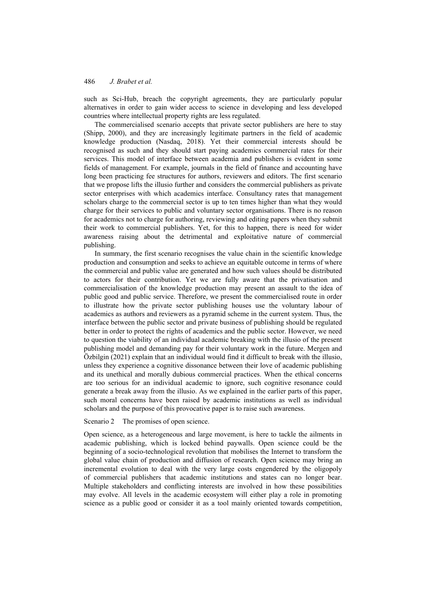such as Sci-Hub, breach the copyright agreements, they are particularly popular alternatives in order to gain wider access to science in developing and less developed countries where intellectual property rights are less regulated.

The commercialised scenario accepts that private sector publishers are here to stay (Shipp, 2000), and they are increasingly legitimate partners in the field of academic knowledge production (Nasdaq, 2018). Yet their commercial interests should be recognised as such and they should start paying academics commercial rates for their services. This model of interface between academia and publishers is evident in some fields of management. For example, journals in the field of finance and accounting have long been practicing fee structures for authors, reviewers and editors. The first scenario that we propose lifts the illusio further and considers the commercial publishers as private sector enterprises with which academics interface. Consultancy rates that management scholars charge to the commercial sector is up to ten times higher than what they would charge for their services to public and voluntary sector organisations. There is no reason for academics not to charge for authoring, reviewing and editing papers when they submit their work to commercial publishers. Yet, for this to happen, there is need for wider awareness raising about the detrimental and exploitative nature of commercial publishing.

In summary, the first scenario recognises the value chain in the scientific knowledge production and consumption and seeks to achieve an equitable outcome in terms of where the commercial and public value are generated and how such values should be distributed to actors for their contribution. Yet we are fully aware that the privatisation and commercialisation of the knowledge production may present an assault to the idea of public good and public service. Therefore, we present the commercialised route in order to illustrate how the private sector publishing houses use the voluntary labour of academics as authors and reviewers as a pyramid scheme in the current system. Thus, the interface between the public sector and private business of publishing should be regulated better in order to protect the rights of academics and the public sector. However, we need to question the viability of an individual academic breaking with the illusio of the present publishing model and demanding pay for their voluntary work in the future. Mergen and Özbilgin (2021) explain that an individual would find it difficult to break with the illusio, unless they experience a cognitive dissonance between their love of academic publishing and its unethical and morally dubious commercial practices. When the ethical concerns are too serious for an individual academic to ignore, such cognitive resonance could generate a break away from the illusio. As we explained in the earlier parts of this paper, such moral concerns have been raised by academic institutions as well as individual scholars and the purpose of this provocative paper is to raise such awareness.

Scenario 2 The promises of open science.

Open science, as a heterogeneous and large movement, is here to tackle the ailments in academic publishing, which is locked behind paywalls. Open science could be the beginning of a socio-technological revolution that mobilises the Internet to transform the global value chain of production and diffusion of research. Open science may bring an incremental evolution to deal with the very large costs engendered by the oligopoly of commercial publishers that academic institutions and states can no longer bear. Multiple stakeholders and conflicting interests are involved in how these possibilities may evolve. All levels in the academic ecosystem will either play a role in promoting science as a public good or consider it as a tool mainly oriented towards competition,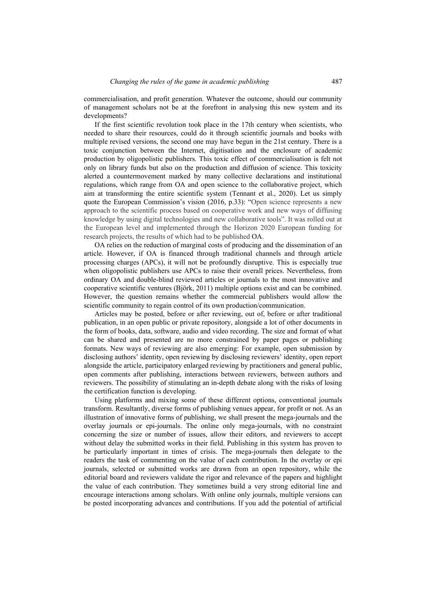commercialisation, and profit generation. Whatever the outcome, should our community of management scholars not be at the forefront in analysing this new system and its developments?

If the first scientific revolution took place in the 17th century when scientists, who needed to share their resources, could do it through scientific journals and books with multiple revised versions, the second one may have begun in the 21st century. There is a toxic conjunction between the Internet, digitisation and the enclosure of academic production by oligopolistic publishers. This toxic effect of commercialisation is felt not only on library funds but also on the production and diffusion of science. This toxicity alerted a countermovement marked by many collective declarations and institutional regulations, which range from OA and open science to the collaborative project, which aim at transforming the entire scientific system (Tennant et al., 2020). Let us simply quote the European Commission's vision (2016, p.33): "Open science represents a new approach to the scientific process based on cooperative work and new ways of diffusing knowledge by using digital technologies and new collaborative tools". It was rolled out at the European level and implemented through the Horizon 2020 European funding for research projects, the results of which had to be published OA.

OA relies on the reduction of marginal costs of producing and the dissemination of an article. However, if OA is financed through traditional channels and through article processing charges (APCs), it will not be profoundly disruptive. This is especially true when oligopolistic publishers use APCs to raise their overall prices. Nevertheless, from ordinary OA and double-blind reviewed articles or journals to the most innovative and cooperative scientific ventures (Björk, 2011) multiple options exist and can be combined. However, the question remains whether the commercial publishers would allow the scientific community to regain control of its own production/communication.

Articles may be posted, before or after reviewing, out of, before or after traditional publication, in an open public or private repository, alongside a lot of other documents in the form of books, data, software, audio and video recording. The size and format of what can be shared and presented are no more constrained by paper pages or publishing formats. New ways of reviewing are also emerging: For example, open submission by disclosing authors' identity, open reviewing by disclosing reviewers' identity, open report alongside the article, participatory enlarged reviewing by practitioners and general public, open comments after publishing, interactions between reviewers, between authors and reviewers. The possibility of stimulating an in-depth debate along with the risks of losing the certification function is developing.

Using platforms and mixing some of these different options, conventional journals transform. Resultantly, diverse forms of publishing venues appear, for profit or not. As an illustration of innovative forms of publishing, we shall present the mega-journals and the overlay journals or epi-journals. The online only mega-journals, with no constraint concerning the size or number of issues, allow their editors, and reviewers to accept without delay the submitted works in their field. Publishing in this system has proven to be particularly important in times of crisis. The mega-journals then delegate to the readers the task of commenting on the value of each contribution. In the overlay or epi journals, selected or submitted works are drawn from an open repository, while the editorial board and reviewers validate the rigor and relevance of the papers and highlight the value of each contribution. They sometimes build a very strong editorial line and encourage interactions among scholars. With online only journals, multiple versions can be posted incorporating advances and contributions. If you add the potential of artificial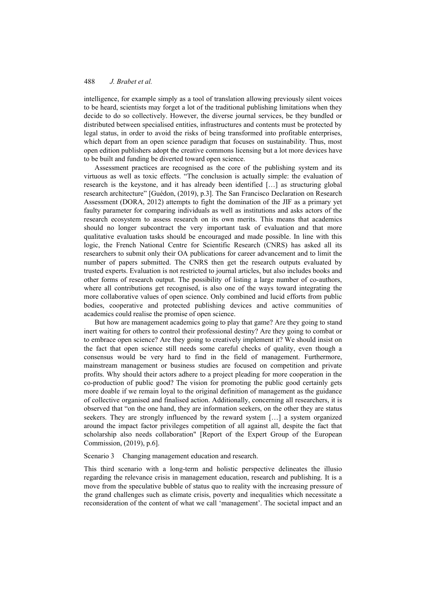intelligence, for example simply as a tool of translation allowing previously silent voices to be heard, scientists may forget a lot of the traditional publishing limitations when they decide to do so collectively. However, the diverse journal services, be they bundled or distributed between specialised entities, infrastructures and contents must be protected by legal status, in order to avoid the risks of being transformed into profitable enterprises, which depart from an open science paradigm that focuses on sustainability. Thus, most open edition publishers adopt the creative commons licensing but a lot more devices have to be built and funding be diverted toward open science.

Assessment practices are recognised as the core of the publishing system and its virtuous as well as toxic effects. "The conclusion is actually simple: the evaluation of research is the keystone, and it has already been identified […] as structuring global research architecture" [Guédon, (2019), p.3]. The San Francisco Declaration on Research Assessment (DORA, 2012) attempts to fight the domination of the JIF as a primary yet faulty parameter for comparing individuals as well as institutions and asks actors of the research ecosystem to assess research on its own merits. This means that academics should no longer subcontract the very important task of evaluation and that more qualitative evaluation tasks should be encouraged and made possible. In line with this logic, the French National Centre for Scientific Research (CNRS) has asked all its researchers to submit only their OA publications for career advancement and to limit the number of papers submitted. The CNRS then get the research outputs evaluated by trusted experts. Evaluation is not restricted to journal articles, but also includes books and other forms of research output. The possibility of listing a large number of co-authors, where all contributions get recognised, is also one of the ways toward integrating the more collaborative values of open science. Only combined and lucid efforts from public bodies, cooperative and protected publishing devices and active communities of academics could realise the promise of open science.

But how are management academics going to play that game? Are they going to stand inert waiting for others to control their professional destiny? Are they going to combat or to embrace open science? Are they going to creatively implement it? We should insist on the fact that open science still needs some careful checks of quality, even though a consensus would be very hard to find in the field of management. Furthermore, mainstream management or business studies are focused on competition and private profits. Why should their actors adhere to a project pleading for more cooperation in the co-production of public good? The vision for promoting the public good certainly gets more doable if we remain loyal to the original definition of management as the guidance of collective organised and finalised action. Additionally, concerning all researchers, it is observed that "on the one hand, they are information seekers, on the other they are status seekers. They are strongly influenced by the reward system […] a system organized around the impact factor privileges competition of all against all, despite the fact that scholarship also needs collaboration" [Report of the Expert Group of the European Commission, (2019), p.6].

Scenario 3 Changing management education and research.

This third scenario with a long-term and holistic perspective delineates the illusio regarding the relevance crisis in management education, research and publishing. It is a move from the speculative bubble of status quo to reality with the increasing pressure of the grand challenges such as climate crisis, poverty and inequalities which necessitate a reconsideration of the content of what we call 'management'. The societal impact and an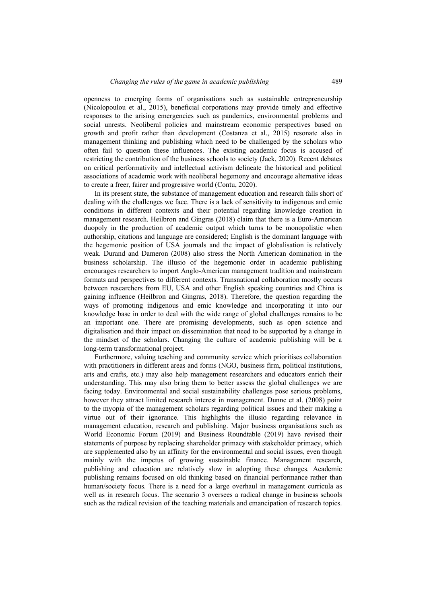openness to emerging forms of organisations such as sustainable entrepreneurship (Nicolopoulou et al., 2015), beneficial corporations may provide timely and effective responses to the arising emergencies such as pandemics, environmental problems and social unrests. Neoliberal policies and mainstream economic perspectives based on growth and profit rather than development (Costanza et al., 2015) resonate also in management thinking and publishing which need to be challenged by the scholars who often fail to question these influences. The existing academic focus is accused of restricting the contribution of the business schools to society (Jack, 2020). Recent debates on critical performativity and intellectual activism delineate the historical and political associations of academic work with neoliberal hegemony and encourage alternative ideas to create a freer, fairer and progressive world (Contu, 2020).

In its present state, the substance of management education and research falls short of dealing with the challenges we face. There is a lack of sensitivity to indigenous and emic conditions in different contexts and their potential regarding knowledge creation in management research. Heilbron and Gingras (2018) claim that there is a Euro-American duopoly in the production of academic output which turns to be monopolistic when authorship, citations and language are considered; English is the dominant language with the hegemonic position of USA journals and the impact of globalisation is relatively weak. Durand and Dameron (2008) also stress the North American domination in the business scholarship. The illusio of the hegemonic order in academic publishing encourages researchers to import Anglo-American management tradition and mainstream formats and perspectives to different contexts. Transnational collaboration mostly occurs between researchers from EU, USA and other English speaking countries and China is gaining influence (Heilbron and Gingras, 2018). Therefore, the question regarding the ways of promoting indigenous and emic knowledge and incorporating it into our knowledge base in order to deal with the wide range of global challenges remains to be an important one. There are promising developments, such as open science and digitalisation and their impact on dissemination that need to be supported by a change in the mindset of the scholars. Changing the culture of academic publishing will be a long-term transformational project.

Furthermore, valuing teaching and community service which prioritises collaboration with practitioners in different areas and forms (NGO, business firm, political institutions, arts and crafts, etc.) may also help management researchers and educators enrich their understanding. This may also bring them to better assess the global challenges we are facing today. Environmental and social sustainability challenges pose serious problems, however they attract limited research interest in management. Dunne et al. (2008) point to the myopia of the management scholars regarding political issues and their making a virtue out of their ignorance. This highlights the illusio regarding relevance in management education, research and publishing. Major business organisations such as World Economic Forum (2019) and Business Roundtable (2019) have revised their statements of purpose by replacing shareholder primacy with stakeholder primacy, which are supplemented also by an affinity for the environmental and social issues, even though mainly with the impetus of growing sustainable finance. Management research, publishing and education are relatively slow in adopting these changes. Academic publishing remains focused on old thinking based on financial performance rather than human/society focus. There is a need for a large overhaul in management curricula as well as in research focus. The scenario 3 oversees a radical change in business schools such as the radical revision of the teaching materials and emancipation of research topics.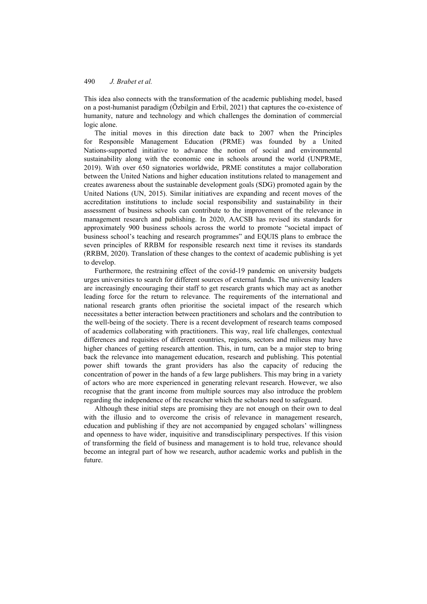This idea also connects with the transformation of the academic publishing model, based on a post-humanist paradigm (Özbilgin and Erbil, 2021) that captures the co-existence of humanity, nature and technology and which challenges the domination of commercial logic alone.

The initial moves in this direction date back to 2007 when the Principles for Responsible Management Education (PRME) was founded by a United Nations-supported initiative to advance the notion of social and environmental sustainability along with the economic one in schools around the world (UNPRME, 2019). With over 650 signatories worldwide, PRME constitutes a major collaboration between the United Nations and higher education institutions related to management and creates awareness about the sustainable development goals (SDG) promoted again by the United Nations (UN, 2015). Similar initiatives are expanding and recent moves of the accreditation institutions to include social responsibility and sustainability in their assessment of business schools can contribute to the improvement of the relevance in management research and publishing. In 2020, AACSB has revised its standards for approximately 900 business schools across the world to promote "societal impact of business school's teaching and research programmes" and EQUIS plans to embrace the seven principles of RRBM for responsible research next time it revises its standards (RRBM, 2020). Translation of these changes to the context of academic publishing is yet to develop.

Furthermore, the restraining effect of the covid-19 pandemic on university budgets urges universities to search for different sources of external funds. The university leaders are increasingly encouraging their staff to get research grants which may act as another leading force for the return to relevance. The requirements of the international and national research grants often prioritise the societal impact of the research which necessitates a better interaction between practitioners and scholars and the contribution to the well-being of the society. There is a recent development of research teams composed of academics collaborating with practitioners. This way, real life challenges, contextual differences and requisites of different countries, regions, sectors and milieus may have higher chances of getting research attention. This, in turn, can be a major step to bring back the relevance into management education, research and publishing. This potential power shift towards the grant providers has also the capacity of reducing the concentration of power in the hands of a few large publishers. This may bring in a variety of actors who are more experienced in generating relevant research. However, we also recognise that the grant income from multiple sources may also introduce the problem regarding the independence of the researcher which the scholars need to safeguard.

Although these initial steps are promising they are not enough on their own to deal with the illusio and to overcome the crisis of relevance in management research, education and publishing if they are not accompanied by engaged scholars' willingness and openness to have wider, inquisitive and transdisciplinary perspectives. If this vision of transforming the field of business and management is to hold true, relevance should become an integral part of how we research, author academic works and publish in the future.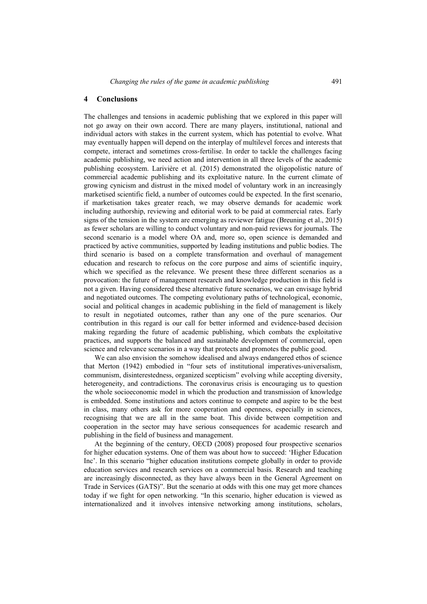### **4 Conclusions**

The challenges and tensions in academic publishing that we explored in this paper will not go away on their own accord. There are many players, institutional, national and individual actors with stakes in the current system, which has potential to evolve. What may eventually happen will depend on the interplay of multilevel forces and interests that compete, interact and sometimes cross-fertilise. In order to tackle the challenges facing academic publishing, we need action and intervention in all three levels of the academic publishing ecosystem. Larivière et al. (2015) demonstrated the oligopolistic nature of commercial academic publishing and its exploitative nature. In the current climate of growing cynicism and distrust in the mixed model of voluntary work in an increasingly marketised scientific field, a number of outcomes could be expected. In the first scenario, if marketisation takes greater reach, we may observe demands for academic work including authorship, reviewing and editorial work to be paid at commercial rates. Early signs of the tension in the system are emerging as reviewer fatigue (Breuning et al., 2015) as fewer scholars are willing to conduct voluntary and non-paid reviews for journals. The second scenario is a model where OA and, more so, open science is demanded and practiced by active communities, supported by leading institutions and public bodies. The third scenario is based on a complete transformation and overhaul of management education and research to refocus on the core purpose and aims of scientific inquiry, which we specified as the relevance. We present these three different scenarios as a provocation: the future of management research and knowledge production in this field is not a given. Having considered these alternative future scenarios, we can envisage hybrid and negotiated outcomes. The competing evolutionary paths of technological, economic, social and political changes in academic publishing in the field of management is likely to result in negotiated outcomes, rather than any one of the pure scenarios. Our contribution in this regard is our call for better informed and evidence-based decision making regarding the future of academic publishing, which combats the exploitative practices, and supports the balanced and sustainable development of commercial, open science and relevance scenarios in a way that protects and promotes the public good.

We can also envision the somehow idealised and always endangered ethos of science that Merton (1942) embodied in "four sets of institutional imperatives-universalism, communism, disinterestedness, organized scepticism" evolving while accepting diversity, heterogeneity, and contradictions. The coronavirus crisis is encouraging us to question the whole socioeconomic model in which the production and transmission of knowledge is embedded. Some institutions and actors continue to compete and aspire to be the best in class, many others ask for more cooperation and openness, especially in sciences, recognising that we are all in the same boat. This divide between competition and cooperation in the sector may have serious consequences for academic research and publishing in the field of business and management.

At the beginning of the century, OECD (2008) proposed four prospective scenarios for higher education systems. One of them was about how to succeed: 'Higher Education Inc'. In this scenario "higher education institutions compete globally in order to provide education services and research services on a commercial basis. Research and teaching are increasingly disconnected, as they have always been in the General Agreement on Trade in Services (GATS)". But the scenario at odds with this one may get more chances today if we fight for open networking. "In this scenario, higher education is viewed as internationalized and it involves intensive networking among institutions, scholars,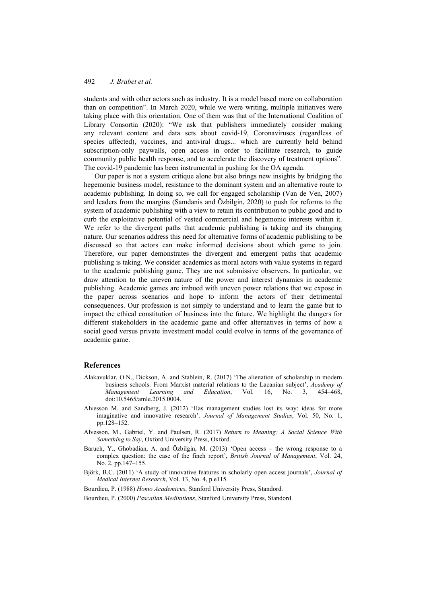students and with other actors such as industry. It is a model based more on collaboration than on competition". In March 2020, while we were writing, multiple initiatives were taking place with this orientation. One of them was that of the International Coalition of Library Consortia (2020): "We ask that publishers immediately consider making any relevant content and data sets about covid-19, Coronaviruses (regardless of species affected), vaccines, and antiviral drugs... which are currently held behind subscription-only paywalls, open access in order to facilitate research, to guide community public health response, and to accelerate the discovery of treatment options". The covid-19 pandemic has been instrumental in pushing for the OA agenda.

Our paper is not a system critique alone but also brings new insights by bridging the hegemonic business model, resistance to the dominant system and an alternative route to academic publishing. In doing so, we call for engaged scholarship (Van de Ven, 2007) and leaders from the margins (Samdanis and Özbilgin, 2020) to push for reforms to the system of academic publishing with a view to retain its contribution to public good and to curb the exploitative potential of vested commercial and hegemonic interests within it. We refer to the divergent paths that academic publishing is taking and its changing nature. Our scenarios address this need for alternative forms of academic publishing to be discussed so that actors can make informed decisions about which game to join. Therefore, our paper demonstrates the divergent and emergent paths that academic publishing is taking. We consider academics as moral actors with value systems in regard to the academic publishing game. They are not submissive observers. In particular, we draw attention to the uneven nature of the power and interest dynamics in academic publishing. Academic games are imbued with uneven power relations that we expose in the paper across scenarios and hope to inform the actors of their detrimental consequences. Our profession is not simply to understand and to learn the game but to impact the ethical constitution of business into the future. We highlight the dangers for different stakeholders in the academic game and offer alternatives in terms of how a social good versus private investment model could evolve in terms of the governance of academic game.

## **References**

- Alakavuklar, O.N., Dickson, A. and Stablein, R. (2017) 'The alienation of scholarship in modern business schools: From Marxist material relations to the Lacanian subject', *Academy of Management Learning and Education*, Vol. 16, No. 3, 454–468, doi:10.5465/amle.2015.0004.
- Alvesson M. and Sandberg, J. (2012) 'Has management studies lost its way: ideas for more imaginative and innovative research'. *Journal of Management Studies*, Vol. 50, No. 1, pp.128–152.
- Alvesson, M., Gabriel, Y. and Paulsen, R. (2017) *Return to Meaning: A Social Science With Something to Say*, Oxford University Press, Oxford.
- Baruch, Y., Ghobadian, A. and Özbilgin, M. (2013) 'Open access the wrong response to a complex question: the case of the finch report', *British Journal of Management*, Vol. 24, No. 2, pp.147–155.
- Björk, B.C. (2011) 'A study of innovative features in scholarly open access journals', *Journal of Medical Internet Research*, Vol. 13, No. 4, p.e115.
- Bourdieu, P. (1988) *Homo Academicus*, Stanford University Press, Standord.
- Bourdieu, P. (2000) *Pascalian Meditations*, Stanford University Press, Standord.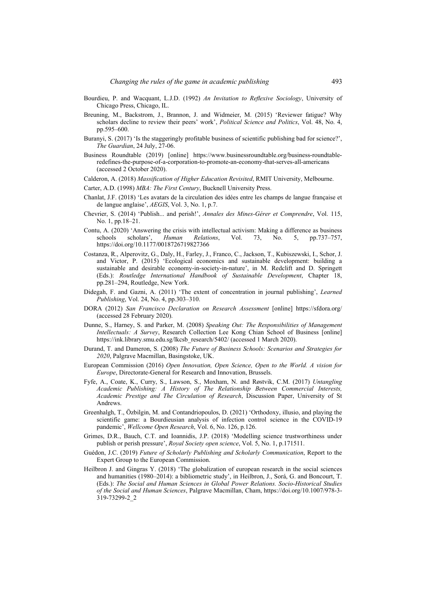- Bourdieu, P. and Wacquant, L.J.D. (1992) *An Invitation to Reflexive Sociology*, University of Chicago Press, Chicago, IL.
- Breuning, M., Backstrom, J., Brannon, J. and Widmeier, M. (2015) 'Reviewer fatigue? Why scholars decline to review their peers' work', *Political Science and Politics*, Vol. 48, No. 4, pp.595–600.
- Buranyi, S. (2017) 'Is the staggeringly profitable business of scientific publishing bad for science?', *The Guardian*, 24 July, 27-06.
- Business Roundtable (2019) [online] https://www.businessroundtable.org/business-roundtableredefines-the-purpose-of-a-corporation-to-promote-an-economy-that-serves-all-americans (accessed 2 October 2020).
- Calderon, A. (2018) *Massification of Higher Education Revisited*, RMIT University, Melbourne.
- Carter, A.D. (1998) *MBA: The First Century*, Bucknell University Press.
- Chanlat, J.F. (2018) 'Les avatars de la circulation des idées entre les champs de langue française et de langue anglaise', *AEGIS*, Vol. 3, No. 1, p.7.
- Chevrier, S. (2014) 'Publish... and perish!', *Annales des Mines-Gérer et Comprendre*, Vol. 115, No. 1, pp.18–21.
- Contu, A. (2020) 'Answering the crisis with intellectual activism: Making a difference as business schools scholars', *Human Relations*, Vol. 73, No. 5, pp.737–757, https://doi.org/10.1177/0018726719827366
- Costanza, R., Alperovitz, G., Daly, H., Farley, J., Franco, C., Jackson, T., Kubiszewski, I., Schor, J. and Victor, P. (2015) 'Ecological economics and sustainable development: building a sustainable and desirable economy-in-society-in-nature', in M. Redclift and D. Springett (Eds.): *Routledge International Handbook of Sustainable Development*, Chapter 18, pp.281–294, Routledge, New York.
- Didegah, F. and Gazni, A. (2011) 'The extent of concentration in journal publishing', *Learned Publishing*, Vol. 24, No. 4, pp.303–310.
- DORA (2012) *San Francisco Declaration on Research Assessment* [online] https://sfdora.org/ (accessed 28 February 2020).
- Dunne, S., Harney, S. and Parker, M. (2008) *Speaking Out: The Responsibilities of Management Intellectuals: A Survey*, Research Collection Lee Kong Chian School of Business [online] https://ink.library.smu.edu.sg/lkcsb\_research/5402/ (accessed 1 March 2020).
- Durand, T. and Dameron, S. (2008) *The Future of Business Schools: Scenarios and Strategies for 2020*, Palgrave Macmillan, Basingstoke, UK.
- European Commission (2016) *Open Innovation, Open Science, Open to the World. A vision for Europe*, Directorate-General for Research and Innovation, Brussels.
- Fyfe, A., Coate, K., Curry, S., Lawson, S., Moxham, N. and Røstvik, C.M. (2017) *Untangling Academic Publishing: A History of The Relationship Between Commercial Interests, Academic Prestige and The Circulation of Research*, Discussion Paper, University of St Andrews.
- Greenhalgh, T., Özbilgin, M. and Contandriopoulos, D. (2021) 'Orthodoxy, illusio, and playing the scientific game: a Bourdieusian analysis of infection control science in the COVID-19 pandemic', *Wellcome Open Research*, Vol. 6, No. 126, p.126.
- Grimes, D.R., Bauch, C.T. and Ioannidis, J.P. (2018) 'Modelling science trustworthiness under publish or perish pressure', *Royal Society open science*, Vol. 5, No. 1, p.171511.
- Guédon, J.C. (2019) *Future of Scholarly Publishing and Scholarly Communication*, Report to the Expert Group to the European Commission.
- Heilbron J. and Gingras Y. (2018) 'The globalization of european research in the social sciences and humanities (1980–2014): a bibliometric study', in Heilbron, J., Sorá, G. and Boncourt, T. (Eds.): *The Social and Human Sciences in Global Power Relations. Socio-Historical Studies of the Social and Human Sciences*, Palgrave Macmillan, Cham, https://doi.org/10.1007/978-3- 319-73299-2\_2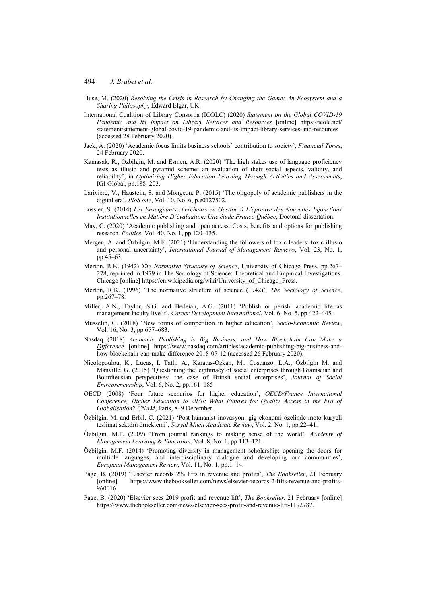- Huse, M. (2020) *Resolving the Crisis in Research by Changing the Game: An Ecosystem and a Sharing Philosophy*, Edward Elgar, UK.
- International Coalition of Library Consortia (ICOLC) (2020) *Statement on the Global COVID-19 Pandemic and Its Impact on Library Services and Resources* [online] https://icolc.net/ statement/statement-global-covid-19-pandemic-and-its-impact-library-services-and-resources (accessed 28 February 2020).
- Jack, A. (2020) 'Academic focus limits business schools' contribution to society', *Financial Times*, 24 February 2020.
- Kamasak, R., Özbilgin, M. and Esmen, A.R. (2020) 'The high stakes use of language proficiency tests as illusio and pyramid scheme: an evaluation of their social aspects, validity, and reliability', in *Optimizing Higher Education Learning Through Activities and Assessments*, IGI Global, pp.188–203.
- Larivière, V., Haustein, S. and Mongeon, P. (2015) 'The oligopoly of academic publishers in the digital era', *PloS one*, Vol. 10, No. 6, p.e0127502.
- Lussier, S. (2014) *Les Enseignants-chercheurs en Gestion à L'épreuve des Nouvelles Injonctions Institutionnelles en Matière D'évaluation: Une étude France-Québec*, Doctoral dissertation.
- May, C. (2020) 'Academic publishing and open access: Costs, benefits and options for publishing research. *Politics*, Vol. 40, No. 1, pp.120–135.
- Mergen, A. and Özbilgin, M.F. (2021) 'Understanding the followers of toxic leaders: toxic illusio and personal uncertainty', *International Journal of Management Reviews*, Vol. 23, No. 1, pp.45–63.
- Merton, R.K. (1942) *The Normative Structure of Science*, University of Chicago Press, pp.267– 278, reprinted in 1979 in The Sociology of Science: Theoretical and Empirical Investigations. Chicago [online] https://en.wikipedia.org/wiki/University\_of\_Chicago\_Press.
- Merton, R.K. (1996) 'The normative structure of science (1942)', *The Sociology of Science*, pp.267–78.
- Miller, A.N., Taylor, S.G. and Bedeian, A.G. (2011) 'Publish or perish: academic life as management faculty live it', *Career Development International*, Vol. 6, No. 5, pp.422–445.
- Musselin, C. (2018) 'New forms of competition in higher education', *Socio-Economic Review*, Vol. 16, No. 3, pp.657–683.
- Nasdaq (2018) *Academic Publishing is Big Business, and How Blockchain Can Make a Difference* [online] https://www.nasdaq.com/articles/academic-publishing-big-business-andhow-blockchain-can-make-difference-2018-07-12 (accessed 26 February 2020).
- Nicolopoulou, K., Lucas, I. Tatli, A., Karatas-Ozkan, M., Costanzo, L.A., Özbilgin M. and Manville, G. (2015) 'Questioning the legitimacy of social enterprises through Gramscian and Bourdieusian perspectives: the case of British social enterprises', *Journal of Social Entrepreneurship*, Vol. 6, No. 2, pp.161–185
- OECD (2008) 'Four future scenarios for higher education', *OECD/France International Conference, Higher Education to 2030: What Futures for Quality Access in the Era of Globalisation? CNAM*, Paris, 8–9 December.
- Özbilgin, M. and Erbil, C. (2021) 'Post-hümanist inovasyon: gig ekonomi özelinde moto kuryeli teslimat sektörü örneklemi', *Sosyal Mucit Academic Review*, Vol. 2, No. 1, pp.22–41.
- Özbilgin, M.F. (2009) 'From journal rankings to making sense of the world', *Academy of Management Learning & Education*, Vol. 8, No. 1, pp.113–121.
- Özbilgin, M.F. (2014) 'Promoting diversity in management scholarship: opening the doors for multiple languages, and interdisciplinary dialogue and developing our communities', *European Management Review*, Vol. 11, No. 1, pp.1–14.
- Page, B. (2019) 'Elsevier records 2% lifts in revenue and profits', *The Bookseller*, 21 February [online] https://www.thebookseller.com/news/elsevier-records-2-lifts-revenue-and-profits-960016.
- Page, B. (2020) 'Elsevier sees 2019 profit and revenue lift', *The Bookseller*, 21 February [online] https://www.thebookseller.com/news/elsevier-sees-profit-and-revenue-lift-1192787.